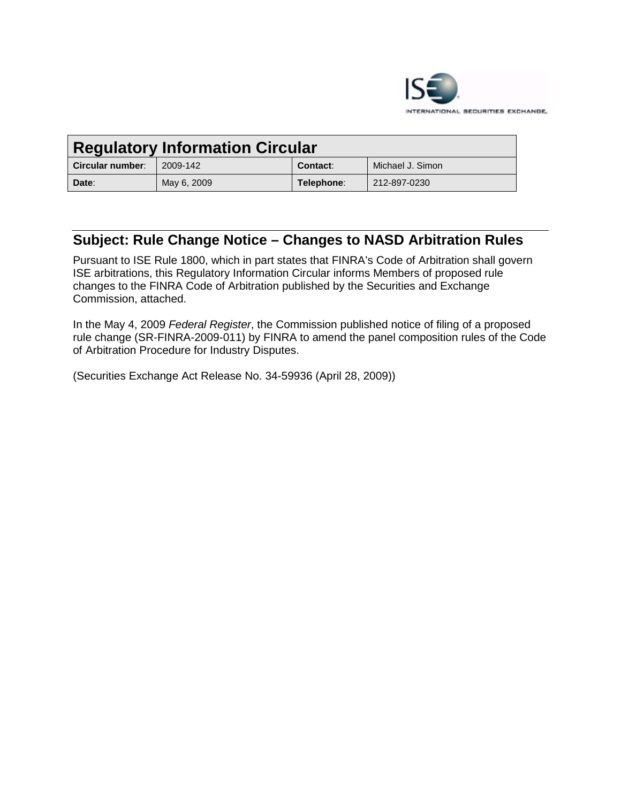

| <b>Regulatory Information Circular</b> |             |            |                  |
|----------------------------------------|-------------|------------|------------------|
| Circular number:                       | 2009-142    | Contact:   | Michael J. Simon |
| Date:                                  | May 6, 2009 | Telephone: | 212-897-0230     |

# **Subject: Rule Change Notice – Changes to NASD Arbitration Rules**

Pursuant to ISE Rule 1800, which in part states that FINRA's Code of Arbitration shall govern ISE arbitrations, this Regulatory Information Circular informs Members of proposed rule changes to the FINRA Code of Arbitration published by the Securities and Exchange Commission, attached.

In the May 4, 2009 *Federal Register*, the Commission published notice of filing of a proposed rule change (SR-FINRA-2009-011) by FINRA to amend the panel composition rules of the Code of Arbitration Procedure for Industry Disputes.

(Securities Exchange Act Release No. 34-59936 (April 28, 2009))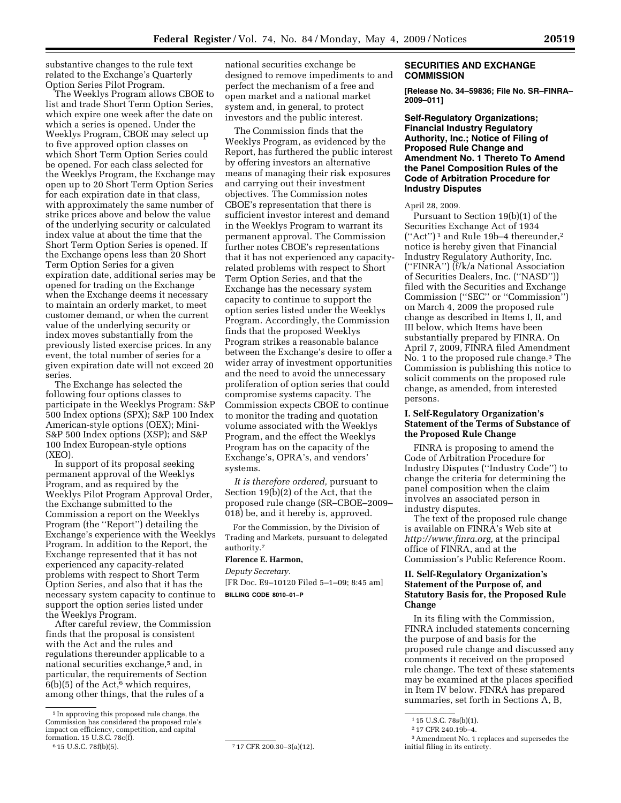substantive changes to the rule text related to the Exchange's Quarterly Option Series Pilot Program.

The Weeklys Program allows CBOE to list and trade Short Term Option Series, which expire one week after the date on which a series is opened. Under the Weeklys Program, CBOE may select up to five approved option classes on which Short Term Option Series could be opened. For each class selected for the Weeklys Program, the Exchange may open up to 20 Short Term Option Series for each expiration date in that class, with approximately the same number of strike prices above and below the value of the underlying security or calculated index value at about the time that the Short Term Option Series is opened. If the Exchange opens less than 20 Short Term Option Series for a given expiration date, additional series may be opened for trading on the Exchange when the Exchange deems it necessary to maintain an orderly market, to meet customer demand, or when the current value of the underlying security or index moves substantially from the previously listed exercise prices. In any event, the total number of series for a given expiration date will not exceed 20 series.

The Exchange has selected the following four options classes to participate in the Weeklys Program: S&P 500 Index options (SPX); S&P 100 Index American-style options (OEX); Mini-S&P 500 Index options (XSP); and S&P 100 Index European-style options (XEO).

In support of its proposal seeking permanent approval of the Weeklys Program, and as required by the Weeklys Pilot Program Approval Order, the Exchange submitted to the Commission a report on the Weeklys Program (the ''Report'') detailing the Exchange's experience with the Weeklys Program. In addition to the Report, the Exchange represented that it has not experienced any capacity-related problems with respect to Short Term Option Series, and also that it has the necessary system capacity to continue to support the option series listed under the Weeklys Program.

After careful review, the Commission finds that the proposal is consistent with the Act and the rules and regulations thereunder applicable to a national securities exchange,5 and, in particular, the requirements of Section  $6(b)(5)$  of the Act,<sup>6</sup> which requires, among other things, that the rules of a

national securities exchange be designed to remove impediments to and perfect the mechanism of a free and open market and a national market system and, in general, to protect investors and the public interest.

The Commission finds that the Weeklys Program, as evidenced by the Report, has furthered the public interest by offering investors an alternative means of managing their risk exposures and carrying out their investment objectives. The Commission notes CBOE's representation that there is sufficient investor interest and demand in the Weeklys Program to warrant its permanent approval. The Commission further notes CBOE's representations that it has not experienced any capacityrelated problems with respect to Short Term Option Series, and that the Exchange has the necessary system capacity to continue to support the option series listed under the Weeklys Program. Accordingly, the Commission finds that the proposed Weeklys Program strikes a reasonable balance between the Exchange's desire to offer a wider array of investment opportunities and the need to avoid the unnecessary proliferation of option series that could compromise systems capacity. The Commission expects CBOE to continue to monitor the trading and quotation volume associated with the Weeklys Program, and the effect the Weeklys Program has on the capacity of the Exchange's, OPRA's, and vendors' systems.

*It is therefore ordered,* pursuant to Section 19(b)(2) of the Act, that the proposed rule change (SR–CBOE–2009– 018) be, and it hereby is, approved.

For the Commission, by the Division of Trading and Markets, pursuant to delegated authority.7

# **Florence E. Harmon,**

*Deputy Secretary.*  [FR Doc. E9–10120 Filed 5–1–09; 8:45 am] **BILLING CODE 8010–01–P** 

## **SECURITIES AND EXCHANGE COMMISSION**

**[Release No. 34–59836; File No. SR–FINRA– 2009–011]** 

**Self-Regulatory Organizations; Financial Industry Regulatory Authority, Inc.; Notice of Filing of Proposed Rule Change and Amendment No. 1 Thereto To Amend the Panel Composition Rules of the Code of Arbitration Procedure for Industry Disputes** 

#### April 28, 2009.

Pursuant to Section 19(b)(1) of the Securities Exchange Act of 1934  $("Act")^1$  and Rule 19b-4 thereunder,<sup>2</sup> notice is hereby given that Financial Industry Regulatory Authority, Inc. (''FINRA'') (f/k/a National Association of Securities Dealers, Inc. (''NASD'')) filed with the Securities and Exchange Commission (''SEC'' or ''Commission'') on March 4, 2009 the proposed rule change as described in Items I, II, and III below, which Items have been substantially prepared by FINRA. On April 7, 2009, FINRA filed Amendment No. 1 to the proposed rule change.<sup>3</sup> The Commission is publishing this notice to solicit comments on the proposed rule change, as amended, from interested persons.

# **I. Self-Regulatory Organization's Statement of the Terms of Substance of the Proposed Rule Change**

FINRA is proposing to amend the Code of Arbitration Procedure for Industry Disputes (''Industry Code'') to change the criteria for determining the panel composition when the claim involves an associated person in industry disputes.

The text of the proposed rule change is available on FINRA's Web site at *http://www.finra.org,* at the principal office of FINRA, and at the Commission's Public Reference Room.

# **II. Self-Regulatory Organization's Statement of the Purpose of, and Statutory Basis for, the Proposed Rule Change**

In its filing with the Commission, FINRA included statements concerning the purpose of and basis for the proposed rule change and discussed any comments it received on the proposed rule change. The text of these statements may be examined at the places specified in Item IV below. FINRA has prepared summaries, set forth in Sections A, B,

<sup>5</sup> In approving this proposed rule change, the Commission has considered the proposed rule's impact on efficiency, competition, and capital formation. 15 U.S.C. 78c(f).<br>  $615$  U.S.C. 78f(b)(5).<br>  $717$  CFR 200.30–3(a)(12).

<sup>1</sup> 15 U.S.C. 78s(b)(1).

<sup>2</sup> 17 CFR 240.19b–4.

<sup>3</sup>Amendment No. 1 replaces and supersedes the initial filing in its entirety.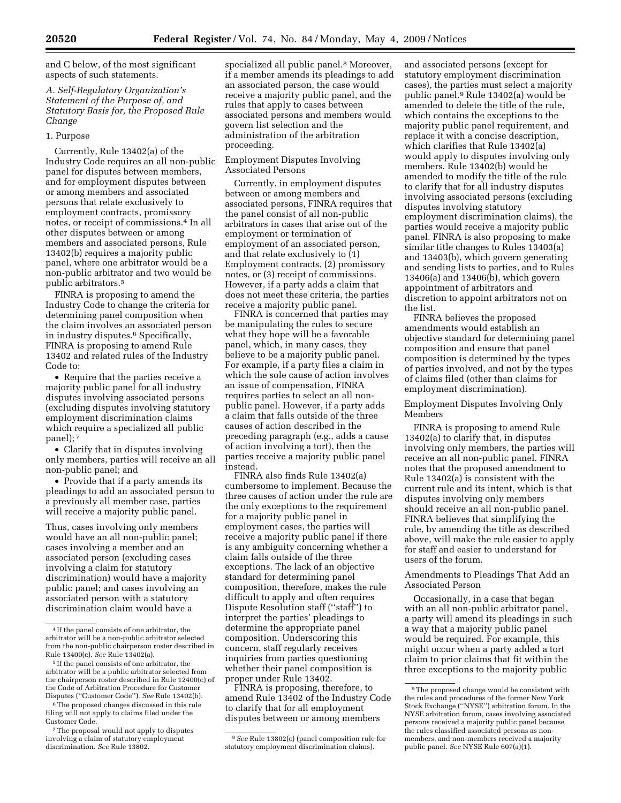and C below, of the most significant aspects of such statements.

*A. Self-Regulatory Organization's Statement of the Purpose of, and Statutory Basis for, the Proposed Rule Change* 

#### 1. Purpose

Currently, Rule 13402(a) of the Industry Code requires an all non-public panel for disputes between members, and for employment disputes between or among members and associated persons that relate exclusively to employment contracts, promissory notes, or receipt of commissions.4 In all other disputes between or among members and associated persons, Rule 13402(b) requires a majority public panel, where one arbitrator would be a non-public arbitrator and two would be public arbitrators.5

FINRA is proposing to amend the Industry Code to change the criteria for determining panel composition when the claim involves an associated person in industry disputes.6 Specifically, FINRA is proposing to amend Rule 13402 and related rules of the Industry Code to:

• Require that the parties receive a majority public panel for all industry disputes involving associated persons (excluding disputes involving statutory employment discrimination claims which require a specialized all public panel); 7

• Clarify that in disputes involving only members, parties will receive an all non-public panel; and

• Provide that if a party amends its pleadings to add an associated person to a previously all member case, parties will receive a majority public panel.

Thus, cases involving only members would have an all non-public panel; cases involving a member and an associated person (excluding cases involving a claim for statutory discrimination) would have a majority public panel; and cases involving an associated person with a statutory discrimination claim would have a

specialized all public panel.<sup>8</sup> Moreover, if a member amends its pleadings to add an associated person, the case would receive a majority public panel, and the rules that apply to cases between associated persons and members would govern list selection and the administration of the arbitration proceeding.

Employment Disputes Involving Associated Persons

Currently, in employment disputes between or among members and associated persons, FINRA requires that the panel consist of all non-public arbitrators in cases that arise out of the employment or termination of employment of an associated person, and that relate exclusively to (1) Employment contracts, (2) promissory notes, or (3) receipt of commissions. However, if a party adds a claim that does not meet these criteria, the parties receive a majority public panel.

FINRA is concerned that parties may be manipulating the rules to secure what they hope will be a favorable panel, which, in many cases, they believe to be a majority public panel. For example, if a party files a claim in which the sole cause of action involves an issue of compensation, FINRA requires parties to select an all nonpublic panel. However, if a party adds a claim that falls outside of the three causes of action described in the preceding paragraph (e.g., adds a cause of action involving a tort), then the parties receive a majority public panel instead.

FINRA also finds Rule 13402(a) cumbersome to implement. Because the three causes of action under the rule are the only exceptions to the requirement for a majority public panel in employment cases, the parties will receive a majority public panel if there is any ambiguity concerning whether a claim falls outside of the three exceptions. The lack of an objective standard for determining panel composition, therefore, makes the rule difficult to apply and often requires Dispute Resolution staff (''staff'') to interpret the parties' pleadings to determine the appropriate panel composition. Underscoring this concern, staff regularly receives inquiries from parties questioning whether their panel composition is proper under Rule 13402.

FINRA is proposing, therefore, to amend Rule 13402 of the Industry Code to clarify that for all employment disputes between or among members

and associated persons (except for statutory employment discrimination cases), the parties must select a majority public panel.9 Rule 13402(a) would be amended to delete the title of the rule, which contains the exceptions to the majority public panel requirement, and replace it with a concise description, which clarifies that Rule 13402(a) would apply to disputes involving only members. Rule 13402(b) would be amended to modify the title of the rule to clarify that for all industry disputes involving associated persons (excluding disputes involving statutory employment discrimination claims), the parties would receive a majority public panel. FINRA is also proposing to make similar title changes to Rules 13403(a) and 13403(b), which govern generating and sending lists to parties, and to Rules 13406(a) and 13406(b), which govern appointment of arbitrators and discretion to appoint arbitrators not on the list.

FINRA believes the proposed amendments would establish an objective standard for determining panel composition and ensure that panel composition is determined by the types of parties involved, and not by the types of claims filed (other than claims for employment discrimination).

Employment Disputes Involving Only Members

FINRA is proposing to amend Rule 13402(a) to clarify that, in disputes involving only members, the parties will receive an all non-public panel. FINRA notes that the proposed amendment to Rule 13402(a) is consistent with the current rule and its intent, which is that disputes involving only members should receive an all non-public panel. FINRA believes that simplifying the rule, by amending the title as described above, will make the rule easier to apply for staff and easier to understand for users of the forum.

Amendments to Pleadings That Add an Associated Person

Occasionally, in a case that began with an all non-public arbitrator panel, a party will amend its pleadings in such a way that a majority public panel would be required. For example, this might occur when a party added a tort claim to prior claims that fit within the three exceptions to the majority public

<sup>4</sup> If the panel consists of one arbitrator, the arbitrator will be a non-public arbitrator selected from the non-public chairperson roster described in Rule 13400(c). *See* Rule 13402(a).

<sup>5</sup> If the panel consists of one arbitrator, the arbitrator will be a public arbitrator selected from the chairperson roster described in Rule 12400(c) of the Code of Arbitration Procedure for Customer Disputes (''Customer Code''). *See* Rule 13402(b).

<sup>6</sup>The proposed changes discussed in this rule filing will not apply to claims filed under the Customer Code.

<sup>7</sup>The proposal would not apply to disputes involving a claim of statutory employment discrimination. *See* Rule 13802.

<sup>8</sup>*See* Rule 13802(c) (panel composition rule for statutory employment discrimination claims).

<sup>9</sup>The proposed change would be consistent with the rules and procedures of the former New York Stock Exchange (''NYSE'') arbitration forum. In the NYSE arbitration forum, cases involving associated persons received a majority public panel because the rules classified associated persons as nonmembers, and non-members received a majority public panel. *See* NYSE Rule 607(a)(1).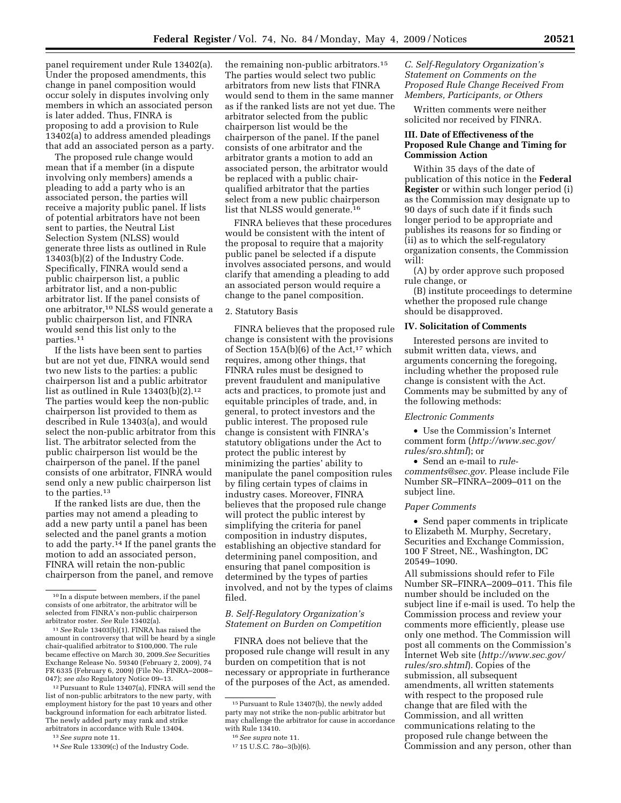panel requirement under Rule 13402(a). Under the proposed amendments, this change in panel composition would occur solely in disputes involving only members in which an associated person is later added. Thus, FINRA is proposing to add a provision to Rule 13402(a) to address amended pleadings that add an associated person as a party.

The proposed rule change would mean that if a member (in a dispute involving only members) amends a pleading to add a party who is an associated person, the parties will receive a majority public panel. If lists of potential arbitrators have not been sent to parties, the Neutral List Selection System (NLSS) would generate three lists as outlined in Rule 13403(b)(2) of the Industry Code. Specifically, FINRA would send a public chairperson list, a public arbitrator list, and a non-public arbitrator list. If the panel consists of one arbitrator,10 NLSS would generate a public chairperson list, and FINRA would send this list only to the parties.11

If the lists have been sent to parties but are not yet due, FINRA would send two new lists to the parties: a public chairperson list and a public arbitrator list as outlined in Rule 13403(b)(2).12 The parties would keep the non-public chairperson list provided to them as described in Rule 13403(a), and would select the non-public arbitrator from this list. The arbitrator selected from the public chairperson list would be the chairperson of the panel. If the panel consists of one arbitrator, FINRA would send only a new public chairperson list to the parties.13

If the ranked lists are due, then the parties may not amend a pleading to add a new party until a panel has been selected and the panel grants a motion to add the party.14 If the panel grants the motion to add an associated person, FINRA will retain the non-public chairperson from the panel, and remove

11*See* Rule 13403(b)(1). FINRA has raised the amount in controversy that will be heard by a single chair-qualified arbitrator to \$100,000. The rule became effective on March 30, 2009.*See* Securities Exchange Release No. 59340 (February 2, 2009), 74 FR 6335 (February 6, 2009) (File No. FINRA–2008– 047); *see also* Regulatory Notice 09–13.

12Pursuant to Rule 13407(a), FINRA will send the list of non-public arbitrators to the new party, with employment history for the past 10 years and other background information for each arbitrator listed. The newly added party may rank and strike arbitrators in accordance with Rule 13404.

13*See supra* note 11.

the remaining non-public arbitrators.15 The parties would select two public arbitrators from new lists that FINRA would send to them in the same manner as if the ranked lists are not yet due. The arbitrator selected from the public chairperson list would be the chairperson of the panel. If the panel consists of one arbitrator and the arbitrator grants a motion to add an associated person, the arbitrator would be replaced with a public chairqualified arbitrator that the parties select from a new public chairperson list that NLSS would generate.16

FINRA believes that these procedures would be consistent with the intent of the proposal to require that a majority public panel be selected if a dispute involves associated persons, and would clarify that amending a pleading to add an associated person would require a change to the panel composition.

#### 2. Statutory Basis

FINRA believes that the proposed rule change is consistent with the provisions of Section  $15A(b)(6)$  of the Act,<sup>17</sup> which requires, among other things, that FINRA rules must be designed to prevent fraudulent and manipulative acts and practices, to promote just and equitable principles of trade, and, in general, to protect investors and the public interest. The proposed rule change is consistent with FINRA's statutory obligations under the Act to protect the public interest by minimizing the parties' ability to manipulate the panel composition rules by filing certain types of claims in industry cases. Moreover, FINRA believes that the proposed rule change will protect the public interest by simplifying the criteria for panel composition in industry disputes, establishing an objective standard for determining panel composition, and ensuring that panel composition is determined by the types of parties involved, and not by the types of claims filed.

# *B. Self-Regulatory Organization's Statement on Burden on Competition*

FINRA does not believe that the proposed rule change will result in any burden on competition that is not necessary or appropriate in furtherance of the purposes of the Act, as amended.

# *C. Self-Regulatory Organization's Statement on Comments on the Proposed Rule Change Received From Members, Participants, or Others*

Written comments were neither solicited nor received by FINRA.

# **III. Date of Effectiveness of the Proposed Rule Change and Timing for Commission Action**

Within 35 days of the date of publication of this notice in the **Federal Register** or within such longer period (i) as the Commission may designate up to 90 days of such date if it finds such longer period to be appropriate and publishes its reasons for so finding or (ii) as to which the self-regulatory organization consents, the Commission will:

(A) by order approve such proposed rule change, or

(B) institute proceedings to determine whether the proposed rule change should be disapproved.

# **IV. Solicitation of Comments**

Interested persons are invited to submit written data, views, and arguments concerning the foregoing, including whether the proposed rule change is consistent with the Act. Comments may be submitted by any of the following methods:

#### *Electronic Comments*

• Use the Commission's Internet comment form (*http://www.sec.gov/ rules/sro.shtml*); or

• Send an e-mail to *rulecomments@sec.gov.* Please include File Number SR–FINRA–2009–011 on the subject line.

#### *Paper Comments*

• Send paper comments in triplicate to Elizabeth M. Murphy, Secretary, Securities and Exchange Commission, 100 F Street, NE., Washington, DC 20549–1090.

All submissions should refer to File Number SR–FINRA–2009–011. This file number should be included on the subject line if e-mail is used. To help the Commission process and review your comments more efficiently, please use only one method. The Commission will post all comments on the Commission's Internet Web site (*http://www.sec.gov/ rules/sro.shtml*). Copies of the submission, all subsequent amendments, all written statements with respect to the proposed rule change that are filed with the Commission, and all written communications relating to the proposed rule change between the Commission and any person, other than

<sup>10</sup> In a dispute between members, if the panel consists of one arbitrator, the arbitrator will be selected from FINRA's non-public chairperson arbitrator roster. *See* Rule 13402(a).

<sup>14</sup>*See* Rule 13309(c) of the Industry Code.

<sup>15</sup>Pursuant to Rule 13407(b), the newly added party may not strike the non-public arbitrator but may challenge the arbitrator for cause in accordance with Rule 13410.

<sup>16</sup>*See supra* note 11.

<sup>17</sup> 15 U.S.C. 78o–3(b)(6).